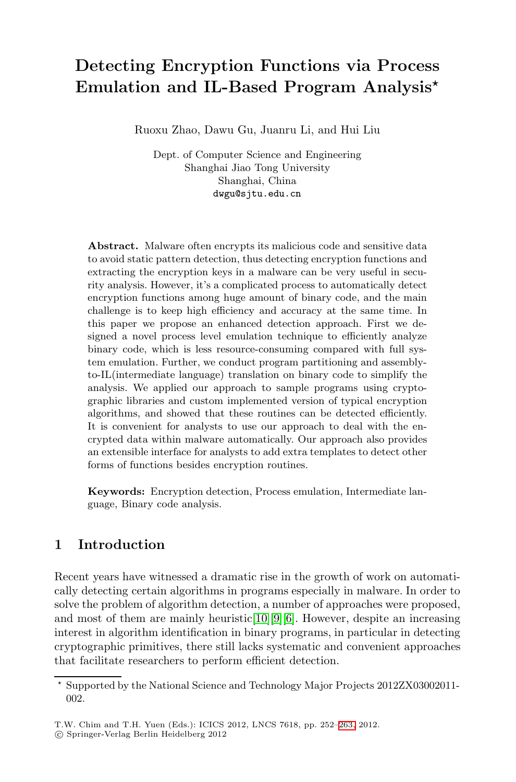# **Detecting Encryption Functions via Process Emulation and IL-Based Program Analysis***-*

Ruoxu Zhao, Dawu Gu, Juanru Li, and Hui Liu

Dept. of Computer Science and Engineering Shanghai Jiao Tong University Shanghai, China dwgu@sjtu.edu.cn

**Abstract.** Malware often encrypts its malicious code and sensitive data to avoid static pattern detection, thus detecting encryption functions and extracting the encryption keys in a malware can be very useful in security analysis. However, it's a complicated process to automatically detect encryption functions among huge amount of binary code, and the main challenge is to keep high efficiency and accuracy at the same time. In this paper we propose an enhanced detection approach. First we designed a novel process level emulation technique to efficiently analyze binary code, which is less resource-consuming compared with full system emulation. Further, we conduct program partitioning and assemblyto-IL(intermediate language) translation on binary code to simplify the analysis. We applied our approach to sample programs using cryptographic libraries and custom implemented version of typical encryption algorithms, and showed that these routines can be detected efficiently. It is convenient for analysts to use our approach to deal with the encrypted data within malware automatically. Our approach also provides an extensible interface for analysts to add extra templates to detect other forms of functions besides encryption routines.

**Keywords:** Encryption detection, Process emulation, Intermediate language, Binary c[ode](#page-11-0) [an](#page-11-1)[aly](#page-11-2)sis.

# **1 Introduction**

Recent years have witnessed a dramatic rise in the growth of work on automatically detecting certain algorithms in programs especially in malware. In order to solve the problem of algorithm detection, a number of approaches were proposed, and most of them are mainly heuristi[c\[10](#page-11-3)][9][6]. However, despite an increasing interest in algorithm identification in binary programs, in particular in detecting cryptographic primitives, there still lacks systematic and convenient approaches that facilitate researchers to perform efficient detection.

 $\star$  Supported by the National Science and Technology Major Projects 2012ZX03002011- 002.

T.W. Chim and T.H. Yuen (Eds.): ICICS 2012, LNCS 7618, pp. 252–263, 2012.

<sup>-</sup>c Springer-Verlag Berlin Heidelberg 2012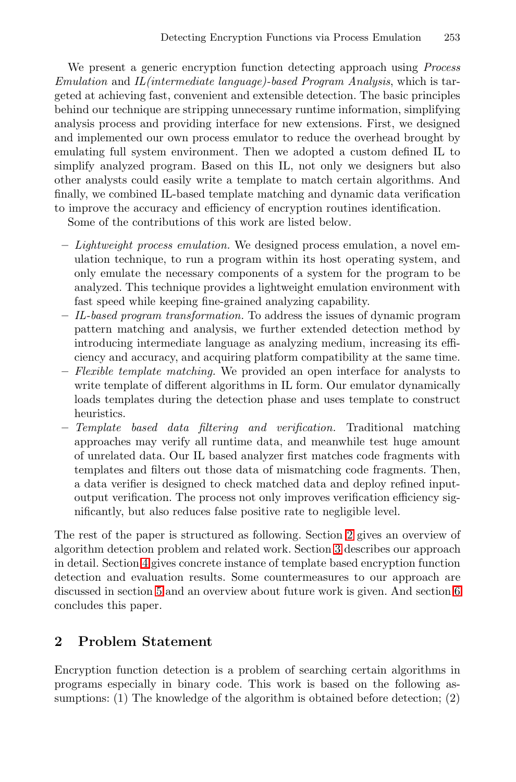We present a generic encryption function detecting approach using *Process Emulation* and *IL(intermediate language)-based Program Analysis*, which is targeted at achieving fast, convenient and extensible detection. The basic principles behind our technique are stripping unnecessary runtime information, simplifying analysis process and providing interface for new extensions. First, we designed and implemented our own process emulator to reduce the overhead brought by emulating full system environment. Then we adopted a custom defined IL to simplify analyzed program. Based on this IL, not only we designers but also other analysts could easily write a template to match certain algorithms. And finally, we combined IL-based template matching and dynamic data verification to improve the accuracy and efficiency of encryption routines identification.

Some of the contributions of this work are listed below.

- **–** *Lightweight process emulation.* We designed process emulation, a novel emulation technique, to run a program within its host operating system, and only emulate the necessary components of a system for the program to be analyzed. This technique provides a lightweight emulation environment with fast speed while keeping fine-grained analyzing capability.
- **–** *IL-based program transformation.* To address the issues of dynamic program pattern matching and analysis, we further extended detection method by introducing intermediate language as analyzing medium, increasing its efficiency and accuracy, and acquiring platform compatibility at the same time.
- **–** *Flexible template matching.* We provided an open interface for analysts to write template of different algorithms in IL form. Our emulator dynamically loads templates during the detection phase and uses template to construct heuristics.
- <span id="page-1-0"></span>**–** *Template based data filtering a[nd](#page-1-0) verification.* Traditional matching approaches may verify all runti[me](#page-3-0) data, and meanwhile test huge amount of unrelated data. Our IL based analyzer first matches code fragments with templates and filters out those data of mismatching code fragments. Then, a data verifier is designed to check matched data and d[ep](#page-10-0)loy refined inputoutput verification. The process not only improves verification efficiency significantly, but also reduces false positive rate to negligible level.

The rest of the paper is structured as following. Section 2 gives an overview of algorithm detection problem and related work. Section 3 describes our approach in detail. Section 4 gives concrete instance of template based encryption function detection and evaluation results. Some countermeasures to our approach are discussed in section 5 and an overview about future work is given. And section 6 concludes this paper.

### **2 Problem Statement**

Encryption function detection is a problem of searching certain algorithms in programs especially in binary code. This work is based on the following assumptions: (1) The knowledge of the algorithm is obtained before detection; (2)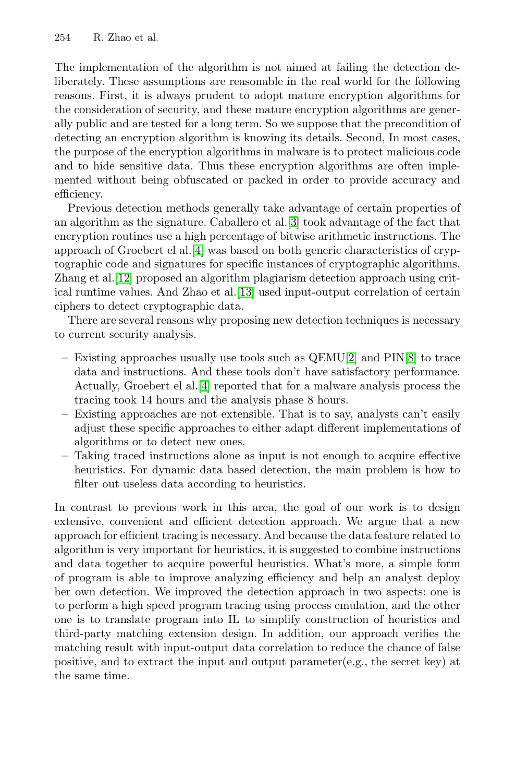The implementation of the algorithm is not aimed at failing the detection deliberately. These assumptions are reasonable in the real world for the following reasons. First, it is always prudent to adopt mature encryption algorithms for the consideration of security[, a](#page-11-4)nd these mature encryption algorithms are generally public and are tested for a long term. So we suppose that the precondition of detecting [a](#page-11-5)n encryption algorithm is knowing its details. Second, In most cases, the purpose of the encryption algorithms in malware is to protect malicious code and to hide sensitive data. Thus these encryption algorithms are often implemented without [bein](#page-11-6)g obfuscated or packed in order to provide accuracy and efficiency.

Previous detection methods generally take advantage of certain properties of an algorithm as the signature. Caballero et al.[3] took advantage of the fact that encryption routines use a high percentage of bitwise arithmetic instructions. The approach of Groebert el al.[4] was base[d o](#page-11-7)n both g[ene](#page-11-8)ric characteristics of cryptographic code and signatures for specific instances of cryptographic algorithms. Zhang et a[l.\[](#page-11-5)12] proposed an algorithm plagiarism detection approach using critical runtime values. And Zhao et al.[13] used input-output correlation of certain ciphers to detect cryptographic data.

There are several reasons why proposing new detection techniques is necessary to current security analysis.

- **–** Existing approaches usually use tools such as QEMU[2] and PIN[8] to trace data and instructions. And these tools don't have satisfactory performance. Actually, Groebert el al.[4] reported that for a malware analysis process the tracing took 14 hours and the analysis phase 8 hours.
- **–** Existing approaches are not extensible. That is to say, analysts can't easily adjust these specific approaches to either adapt different implementations of algorithms or to detect new ones.
- **–** Taking traced instructions alone as input is not enough to acquire effective heuristics. For dynamic data based detection, the main problem is how to filter out useless data according to heuristics.

In contrast to previous work in this area, the goal of our work is to design extensive, convenient and efficient detection approach. We argue that a new approach for efficient tracing is necessary. And because the data feature related to algorithm is very important for heuristics, it is suggested to combine instructions and data together to acquire powerful heuristics. What's more, a simple form of program is able to improve analyzing efficiency and help an analyst deploy her own detection. We improved the detection approach in two aspects: one is to perform a high speed program tracing using process emulation, and the other one is to translate program into IL to simplify construction of heuristics and third-party matching extension design. In addition, our approach verifies the matching result with input-output data correlation to reduce the chance of false positive, and to extract the input and output parameter(e.g., the secret key) at the same time.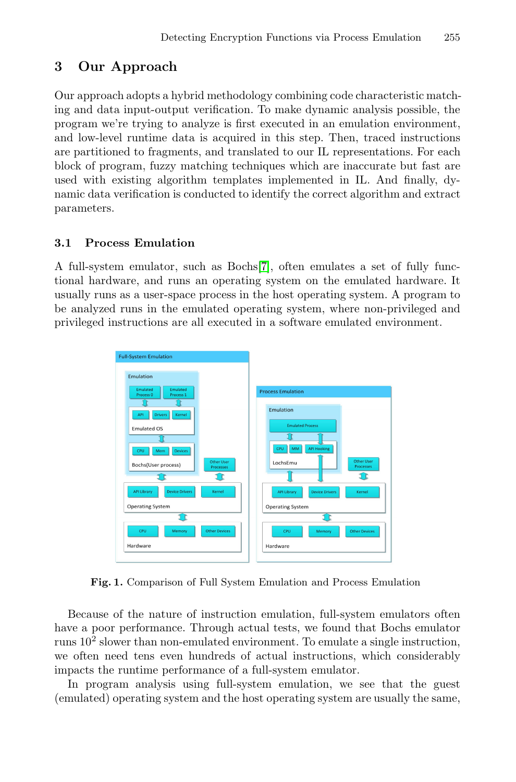## <span id="page-3-0"></span>**3 Our Approach**

Our approach adopts a hybrid methodology combining code characteristic matching and data input-output verification. To make dynamic analysis possible, the program we're trying to analyze is first executed in an emulation environment, and low-level runtime data is acquired in this step. Then, traced instructions are partitioned to fragments, and translated to our IL representations. For each block of program, fuz[zy](#page-11-9) matching techniques which are inaccurate but fast are used with existing algorithm templates implemented in IL. And finally, dynamic data verification is conducted to identify the correct algorithm and extract parameters.

#### **3.1 Process Emulation**

A full-system emulator, such as Bochs[7], often emulates a set of fully functional hardware, and runs an operating system on the emulated hardware. It usually runs as a user-space process in the host operating system. A program to be analyzed runs in the emulated operating system, where non-privileged and privileged instructions are all executed in a software emulated environment.

<span id="page-3-1"></span>

**Fig. 1.** Comparison of Full System Emulation and Process Emulation

Because of the nature of instruction emulation, full-system emulators often have a poor performance. Through actual tests, we found that Bochs emulator runs  $10^2$  slower than non-emulated environment. To emulate a single instruction, we often need tens even hundreds of actual instructions, which considerably impacts the runtime performance of a full-system emulator.

In program analysis using full-system emulation, we see that the guest (emulated) operating system and the host operating system are usually the same,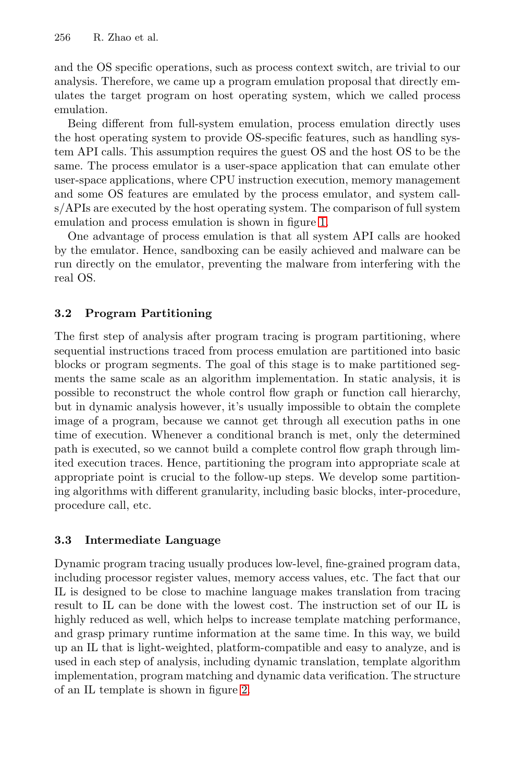and the OS specific operations, such as process context switch, are trivial to our analysis. Therefore, we came up a program emulation proposal that directly emulates the target program on host operating system, which we called process emulation.

Being different from full-syste[m](#page-3-1) emulation, process emulation directly uses the host operating system to provide OS-specific features, such as handling system API calls. This assumption requires the guest OS and the host OS to be the same. The process emulator is a user-space application that can emulate other user-space applications, where CPU instruction execution, memory management and some OS features are emulated by the process emulator, and system calls/APIs are executed by the host operating system. The comparison of full system emulation and process emulation is shown in figure 1.

One advantage of process emulation is that all system API calls are hooked by the emulator. Hence, sandboxing can be easily achieved and malware can be run directly on the emulator, preventing the malware from interfering with the real OS.

#### **3.2 Program Partitioning**

The first step of analysis after program tracing is program partitioning, where sequential instructions traced from process emulation are partitioned into basic blocks or program segments. The goal of this stage is to make partitioned segments the same scale as an algorithm implementation. In static analysis, it is possible to reconstruct the whole control flow graph or function call hierarchy, but in dynamic analysis however, it's usually impossible to obtain the complete image of a program, because we cannot get through all execution paths in one time of execution. Whenever a conditional branch is met, only the determined path is executed, so we cannot build a complete control flow graph through limited execution traces. Hence, partitioning the program into appropriate scale at appropriate point is crucial to the follow-up steps. We develop some partitioning algorithms with different granularity, including basic blocks, inter-procedure, procedure call, etc.

#### **3.3 Intermediate Language**

Dynamic program tracing usually produces low-level, fine-grained program data, including processo[r r](#page-5-0)egister values, memory access values, etc. The fact that our IL is designed to be close to machine language makes translation from tracing result to IL can be done with the lowest cost. The instruction set of our IL is highly reduced as well, which helps to increase template matching performance, and grasp primary runtime information at the same time. In this way, we build up an IL that is light-weighted, platform-compatible and easy to analyze, and is used in each step of analysis, including dynamic translation, template algorithm implementation, program matching and dynamic data verification. The structure of an IL template is shown in figure 2.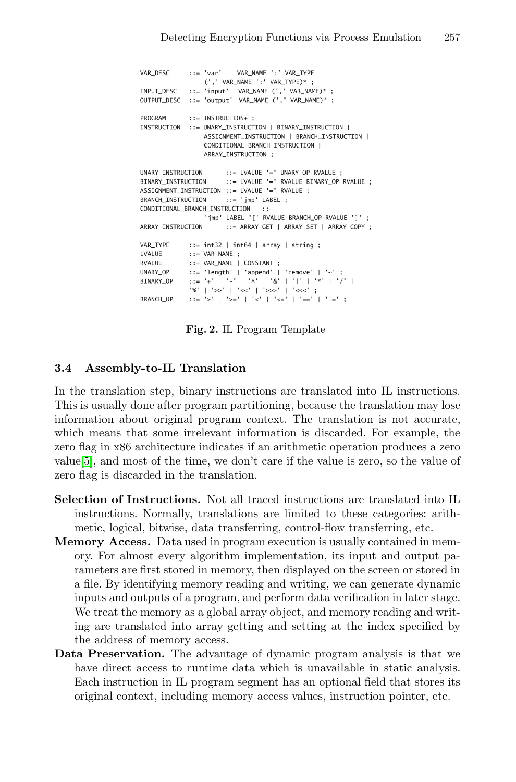```
'var'     VAR_NAME ':' VAR_TYPE<br>(',' VAR_NAME ':' VAR_TYPE)* ;
VAR_DESC
                     ::= 'var': := 'input' VAR_NAME : 'YAR_ITPE)" ;<br>::= 'input' VAR_NAME (',' VAR_NAME)* ;<br>::= 'output' VAR_NAME (',' VAR_NAME)* ;
INPUT_DESC
OUTPUT_DESC
PROGRAM
                    ::= INSTRUCTION+ :
                   ::= UNARY_INSTRUCTION | BINARY_INSTRUCTION |
INSTRUCTION
                          ASSIGNMENT_INSTRUCTION | BRANCH_INSTRUCTION |
                          CONDITIONAL_BRANCH_INSTRUCTION |
                          ARRAY TNSTRUCTTON :
UNARY INSTRUCTION
                                   ::= LVALUE != UNARY OP RVALUE :
BINARY_INSTRUCTION<br>
SINARY_INSTRUCTION<br>
ASSIGNMENT_INSTRUCTION<br>
::= LVALUE '=' RVALUE SINARY_OP RVALUE ;<br>
ASSIGNMENT_INSTRUCTION ::= LVALUE '=' RVALUE ;
BRANCH INSTRUCTION
                                  ::="sub>[1,1]n := 'jmp' LABEL ;<br>'H_INSTRUCTION ::=<br>'jmp' LABEL '[' RVALUE BRANCH_OP RVALUE ']' ;
CONDITIONAL_BRANCH_INSTRUCTION
                                  ::= ARRAY_GET | ARRAY_SET | ARRAY_COPY ;
ARRAY INSTRUCTION
VAR_TYPE
                     ::= int32 | int64 | array | string ;LVALUE
                    ::= VAR\_NAME;
                    \cdot = VAR NAME | CONSTANT \cdotRVALUE
                    ::="length' | 'append' | 'remove' | '~'.';UNARY_OF
                   ::= '+' | '-' | '^' | '&' | '|' | '*' | '/' |<br>'::= '+' | '-' | '^' | '&' | '|' | '*' | '/' |<br>'%' | '>>' | '<<' | '>>>' | '<<<' ;<br>::= '>' | '>=' | '<' | '==' | '!=' ;
BINARY_OF
BRANCH_OF
```
**Fig. 2.** IL Program Template

#### **3.4 Assembly-to-IL Translation**

In the translation step, binary instructions are translated into IL instructions. This is usually done after program partitioning, because the translation may lose information about original program context. The translation is not accurate, which means that some irrelevant information is discarded. For example, the zero flag in x86 architecture indicates if an arithmetic operation produces a zero value[5], and most of the time, we don't care if the value is zero, so the value of zero flag is discarded in the translation.

- **Selection of Instructions.** Not all traced instructions are translated into IL instructions. Normally, translations are limited to these categories: arithmetic, logical, bitwise, data transferring, control-flow transferring, etc.
- **Memory Access.** Data used in program execution is usually contained in memory. For almost every algorithm implementation, its input and output parameters are first stored in memory, then displayed on the screen or stored in a file. By identifying memory reading and writing, we can generate dynamic inputs and outputs of a program, and perform data verification in later stage. We treat the memory as a global array object, and memory reading and writing are translated into array getting and setting at the index specified by the address of memory access.
- **Data Preservation.** The advantage of dynamic program analysis is that we have direct access to runtime data which is unavailable in static analysis. Each instruction in IL program segment has an optional field that stores its original context, including memory access values, instruction pointer, etc.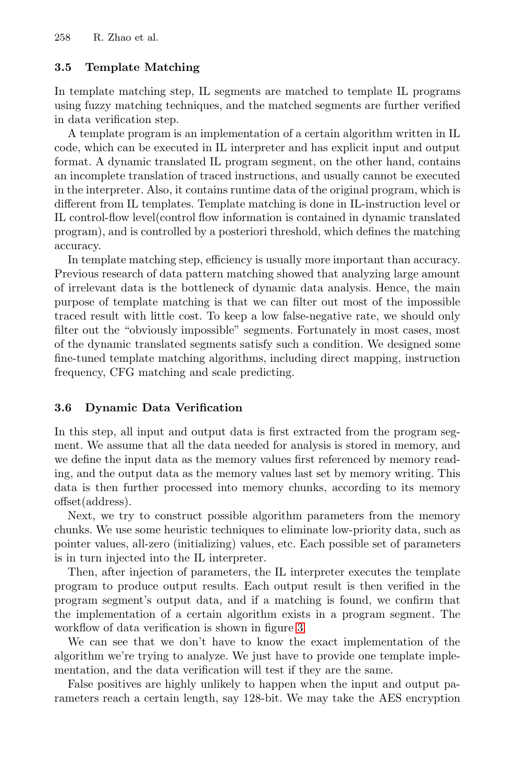#### **3.5 Template Matching**

In template matching step, IL segments are matched to template IL programs using fuzzy matching techniques, and the matched segments are further verified in data verification step.

A template program is an implementation of a certain algorithm written in IL code, which can be executed in IL interpreter and has explicit input and output format. A dynamic translated IL program segment, on the other hand, contains an incomplete translation of traced instructions, and usually cannot be executed in the interpreter. Also, it contains runtime data of the original program, which is different from IL templates. Template matching is done in IL-instruction level or IL control-flow level(control flow information is contained in dynamic translated program), and is controlled by a posteriori threshold, which defines the matching accuracy.

In template matching step, efficiency is usually more important than accuracy. Previous research of data pattern matching showed that analyzing large amount of irrelevant data is the bottleneck of dynamic data analysis. Hence, the main purpose of template matching is that we can filter out most of the impossible traced result with little cost. To keep a low false-negative rate, we should only filter out the "obviously impossible" segments. Fortunately in most cases, most of the dynamic translated segments satisfy such a condition. We designed some fine-tuned template matching algorithms, including direct mapping, instruction frequency, CFG matching and scale predicting.

#### **3.6 Dynamic Data Verification**

In this step, all input and output data is first extracted from the program segment. We assume that all the data needed for analysis is stored in memory, and we define the input data as the memory values first referenced by memory reading, and the output data as the memory values last set by memory writing. This data is then further processed into memory chunks, according to its memory offset(address).

Next, we try to construct [p](#page-7-0)ossible algorithm parameters from the memory chunks. We use some heuristic techniques to eliminate low-priority data, such as pointer values, all-zero (initializing) values, etc. Each possible set of parameters is in turn injected into the IL interpreter.

Then, after injection of parameters, the IL interpreter executes the template program to produce output results. Each output result is then verified in the program segment's output data, and if a matching is found, we confirm that the implementation of a certain algorithm exists in a program segment. The workflow of data verification is shown in figure 3.

We can see that we don't have to know the exact implementation of the algorithm we're trying to analyze. We just have to provide one template implementation, and the data verification will test if they are the same.

False positives are highly unlikely to happen when the input and output parameters reach a certain length, say 128-bit. We may take the AES encryption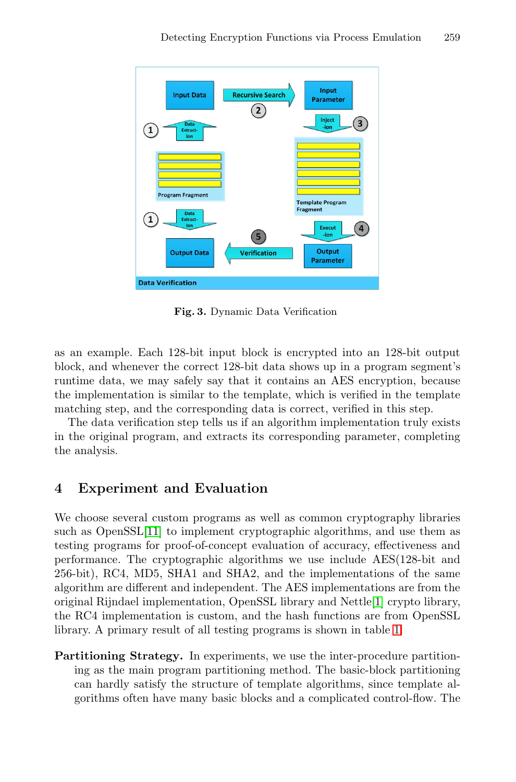<span id="page-7-0"></span>

**Fig. 3.** Dynamic Data Verification

as an example. Each 128-bit input block is encrypted into an 128-bit output block, and whenever the correct 128-bit data shows up in a program segment's runtime data, we may safely say that it contains an AES encryption, because the implementation is similar to the template, which is verified in the template matching step, and the corresponding data is correct, verified in this step.

[T](#page-11-10)he data verification step tells us if an algorithm implementation truly exists in the original program, and extracts its corresponding parameter, completing the analysis.

### **4 Experiment and Evaluation**

We choose several custom programs as well as [co](#page-8-0)mmon cryptography libraries such as OpenSSL[11] to implement cryptographic algorithms, and use them as testing programs for proof-of-concept evaluation of accuracy, effectiveness and performance. The cryptographic algorithms we use include AES(128-bit and 256-bit), RC4, MD5, SHA1 and SHA2, and the implementations of the same algorithm are different and independent. The AES implementations are from the original Rijndael implementation, OpenSSL library and Nettle[1] crypto library, the RC4 implementation is custom, and the hash functions are from OpenSSL library. A primary result of all testing programs is shown in table 1.

**Partitioning Strategy.** In experiments, we use the inter-procedure partitioning as the main program partitioning method. The basic-block partitioning can hardly satisfy the structure of template algorithms, since template algorithms often have many basic blocks and a complicated control-flow. The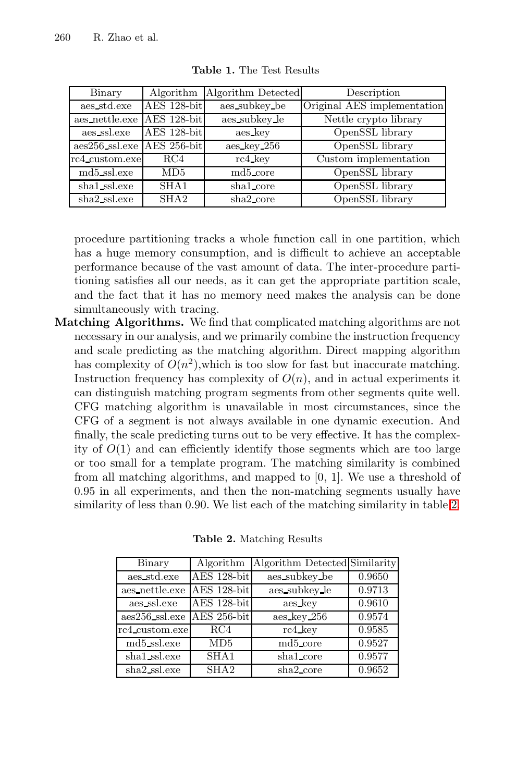| Binary                                     | Algorithm                                 | Algorithm Detected   | Description                 |  |
|--------------------------------------------|-------------------------------------------|----------------------|-----------------------------|--|
| aes_std.exe                                | AES 128-bit                               | aes_subkey_be        | Original AES implementation |  |
| aes_nettle.exe                             | AES 128-bit                               | aes subkey_le        | Nettle crypto library       |  |
| aes_ssl.exe                                | OpenSSL library<br>AES 128-bit<br>aes_key |                      |                             |  |
| aes256_ssl.exe AES 256-bit                 |                                           | aes_key_ $256$       | OpenSSL library             |  |
| rc4_custom.exe                             | RC4                                       | $rc4$ <sub>kev</sub> | Custom implementation       |  |
| $\text{md5}\text{-}\text{ssl}\text{.}$ exe | MD5                                       | md <sub>5</sub> core | OpenSSL library             |  |
| shal ssl.exe                               | SHA <sub>1</sub>                          | shal_core            | OpenSSL library             |  |
| sha2_ssl.exe                               | SHA <sub>2</sub>                          | sha2_core            | OpenSSL library             |  |

<span id="page-8-0"></span>**Table 1.** The Test Results

procedure partitioning tracks a whole function call in one partition, which has a huge memory consumption, and is difficult to achieve an acceptable performance because of the vast amount of data. The inter-procedure partitioning satisfies all our needs, as it can get the appropriate partition scale, and the fact that it has no memory need makes the analysis can be done simultaneously with tracing.

<span id="page-8-1"></span>**Matching Algorithms.** We find that complicated matching algorithms are not necessary in our analysis, and we primarily combine the instruction frequency and scale predicting as the matching algorithm. Direct mapping algorithm has complexity of  $O(n^2)$ , which is too slow for fast but inaccurate matching. Instruction frequency has complexity of  $O(n)$ , and in actual experiments it can distinguish matching program segments from other [se](#page-8-1)gments quite well. CFG matching algorithm is unavailable in most circumstances, since the CFG of a segment is not always available in one dynamic execution. And finally, the scale predicting turns out to be very effective. It has the complexity of  $O(1)$  and can efficiently identify those segments which are too large or too small for a template program. The matching similarity is combined from all matching algorithms, and mapped to [0, 1]. We use a threshold of 0.95 in all experiments, and then the non-matching segments usually have similarity of less than 0.90. We list each of the matching similarity in table 2.

| Binary<br>Algorithm |                  | Algorithm Detected Similarity |        |
|---------------------|------------------|-------------------------------|--------|
| aes_std.exe         | AES 128-bit      | aes_subkey_be                 | 0.9650 |
| aes_nettle.exe      | AES 128-bit      | aes subkey le                 | 0.9713 |
| aes_ssl.exe         | AES 128-bit      | aes_key                       | 0.9610 |
| $aes256$ ssl.exe    | AES 256-bit      | aes_key_ $256$                | 0.9574 |
| rc4_custom.exe      | RC4              | $rc4$ key                     | 0.9585 |
| md5_ssl.exe         | MD5              | md5_core                      | 0.9527 |
| shal ssl.exe        | SHA1             | shal_core                     | 0.9577 |
| sha2_ssl.exe        | SHA <sub>2</sub> | sha2_core                     | 0.9652 |

**Table 2.** Matching Results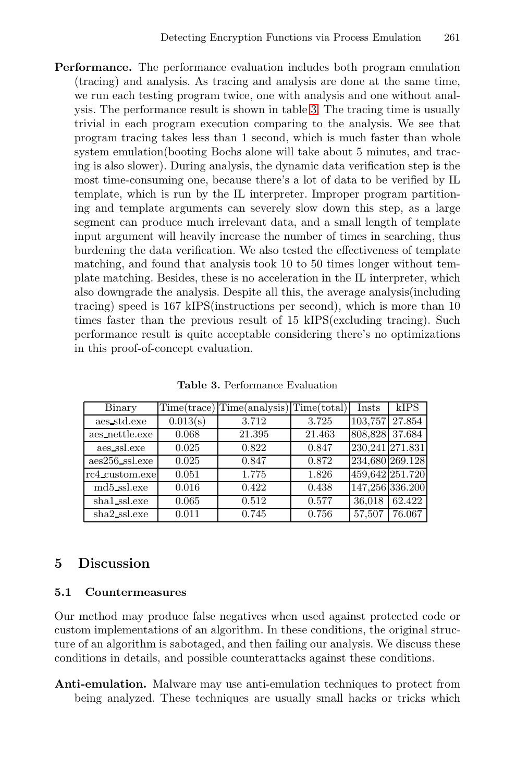**Performance.** The performance evaluation includes both program emulation (tracing) and analysis. As tracing and analysis are done at the same time, we run each testing program twice, one with analysis and one without analysis. The performance result is shown in table 3. The tracing time is usually trivial in each program execution comparing to the analysis. We see that program tracing takes less than 1 second, which is much faster than whole system emulation(booting Bochs alone will take about 5 minutes, and tracing is also slower). During analysis, the dynamic data verification step is the most time-consuming one, because there's a lot of data to be verified by IL template, which is run by the IL interpreter. Improper program partitioning and template arguments can severely slow down this step, as a large segment can produce much irrelevant data, and a small length of template input argument will heavily increase the number of times in searching, thus burdening the data verification. We also tested the effectiveness of template matching, and found that analysis took 10 to 50 times longer without template matching. Besides, these is no acceleration in the IL interpreter, which also downgrade the analysis. Despite all this, the average analysis(including tracing) speed is 167 kIPS(instructions per second), which is more than 10 times faster than the previous result of 15 kIPS(excluding tracing). Such performance result is quite acceptable considering there's no optimizations in this proof-of-concept evaluation.

|  | Binary            |          | $Time(trace)$ $Time(analysis)$ $Time(total)$ |        | Insts            | kIPS            |
|--|-------------------|----------|----------------------------------------------|--------|------------------|-----------------|
|  | aes_std.exe       | 0.013(s) | 3.712                                        | 3.725  | 103,757          | 27.854          |
|  | aes_nettle.exe    | 0.068    | 21.395                                       | 21.463 | 808,828          | 37.684          |
|  | aes_ssl.exe       | 0.025    | 0.822                                        | 0.847  | 230, 241 271.831 |                 |
|  | $aes256$ _ssl.exe | 0.025    | 0.847                                        | 0.872  | 234,680 269.128  |                 |
|  | rc4_custom.exe    | 0.051    | 1.775                                        | 1.826  |                  | 459,642 251.720 |
|  | md5_ssl.exe       | 0.016    | 0.422                                        | 0.438  | 147,256 336.200  |                 |
|  | shal_ssl.exe      | 0.065    | 0.512                                        | 0.577  | 36,018           | 62.422          |
|  | sha2_ssl.exe      | 0.011    | 0.745                                        | 0.756  | 57,507           | 76.067          |

**Table 3.** Performance Evaluation

#### **5 Discussion**

#### **5.1 Countermeasures**

Our method may produce false negatives when used against protected code or custom implementations of an algorithm. In these conditions, the original structure of an algorithm is sabotaged, and then failing our analysis. We discuss these conditions in details, and possible counterattacks against these conditions.

**Anti-emulation.** Malware may use anti-emulation techniques to protect from being analyzed. These techniques are usually small hacks or tricks which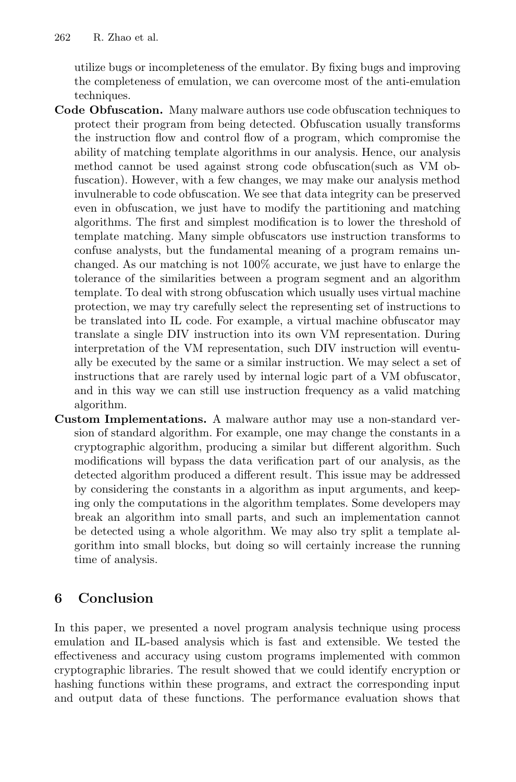utilize bugs or incompleteness of the emulator. By fixing bugs and improving the completeness of emulation, we can overcome most of the anti-emulation techniques.

- **Code Obfuscation.** Many malware authors use code obfuscation techniques to protect their program from being detected. Obfuscation usually transforms the instruction flow and control flow of a program, which compromise the ability of matching template algorithms in our analysis. Hence, our analysis method cannot be used against strong code obfuscation(such as VM obfuscation). However, with a few changes, we may make our analysis method invulnerable to code obfuscation. We see that data integrity can be preserved even in obfuscation, we just have to modify the partitioning and matching algorithms. The first and simplest modification is to lower the threshold of template matching. Many simple obfuscators use instruction transforms to confuse analysts, but the fundamental meaning of a program remains unchanged. As our matching is not 100% accurate, we just have to enlarge the tolerance of the similarities between a program segment and an algorithm template. To deal with strong obfuscation which usually uses virtual machine protection, we may try carefully select the representing set of instructions to be translated into IL code. For example, a virtual machine obfuscator may translate a single DIV instruction into its own VM representation. During interpretation of the VM representation, such DIV instruction will eventually be executed by the same or a similar instruction. We may select a set of instructions that are rarely used by internal logic part of a VM obfuscator, and in this way we can still use instruction frequency as a valid matching algorithm.
- <span id="page-10-0"></span>**Custom Implementations.** A malware author may use a non-standard version of standard algorithm. For example, one may change the constants in a cryptographic algorithm, producing a similar but different algorithm. Such modifications will bypass the data verification part of our analysis, as the detected algorithm produced a different result. This issue may be addressed by considering the constants in a algorithm as input arguments, and keeping only the computations in the algorithm templates. Some developers may break an algorithm into small parts, and such an implementation cannot be detected using a whole algorithm. We may also try split a template algorithm into small blocks, but doing so will certainly increase the running time of analysis.

# **6 Conclusion**

In this paper, we presented a novel program analysis technique using process emulation and IL-based analysis which is fast and extensible. We tested the effectiveness and accuracy using custom programs implemented with common cryptographic libraries. The result showed that we could identify encryption or hashing functions within these programs, and extract the corresponding input and output data of these functions. The performance evaluation shows that